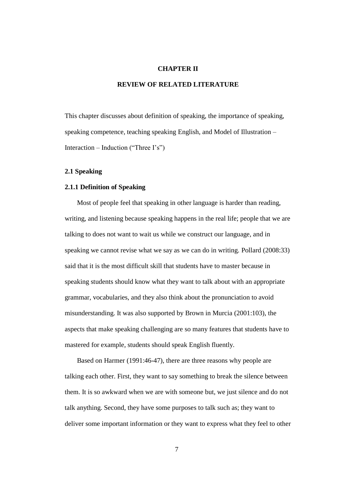# **CHAPTER II**

# **REVIEW OF RELATED LITERATURE**

This chapter discusses about definition of speaking, the importance of speaking, speaking competence, teaching speaking English, and Model of Illustration – Interaction – Induction ("Three  $I's$ ")

## **2.1 Speaking**

# **2.1.1 Definition of Speaking**

Most of people feel that speaking in other language is harder than reading, writing, and listening because speaking happens in the real life; people that we are talking to does not want to wait us while we construct our language, and in speaking we cannot revise what we say as we can do in writing. Pollard (2008:33) said that it is the most difficult skill that students have to master because in speaking students should know what they want to talk about with an appropriate grammar, vocabularies, and they also think about the pronunciation to avoid misunderstanding. It was also supported by Brown in Murcia (2001:103), the aspects that make speaking challenging are so many features that students have to mastered for example, students should speak English fluently.

Based on Harmer (1991:46-47), there are three reasons why people are talking each other. First, they want to say something to break the silence between them. It is so awkward when we are with someone but, we just silence and do not talk anything. Second, they have some purposes to talk such as; they want to deliver some important information or they want to express what they feel to other

7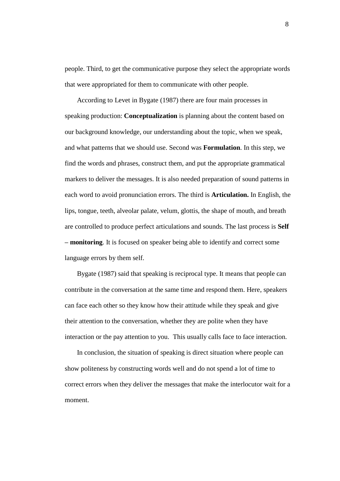people. Third, to get the communicative purpose they select the appropriate words that were appropriated for them to communicate with other people.

According to Levet in Bygate (1987) there are four main processes in speaking production: **Conceptualization** is planning about the content based on our background knowledge, our understanding about the topic, when we speak, and what patterns that we should use. Second was **Formulation**. In this step, we find the words and phrases, construct them, and put the appropriate grammatical markers to deliver the messages. It is also needed preparation of sound patterns in each word to avoid pronunciation errors. The third is **Articulation.** In English, the lips, tongue, teeth, alveolar palate, velum, glottis, the shape of mouth, and breath are controlled to produce perfect articulations and sounds. The last process is **Self – monitoring**. It is focused on speaker being able to identify and correct some language errors by them self.

Bygate (1987) said that speaking is reciprocal type. It means that people can contribute in the conversation at the same time and respond them. Here, speakers can face each other so they know how their attitude while they speak and give their attention to the conversation, whether they are polite when they have interaction or the pay attention to you. This usually calls face to face interaction.

In conclusion, the situation of speaking is direct situation where people can show politeness by constructing words well and do not spend a lot of time to correct errors when they deliver the messages that make the interlocutor wait for a moment.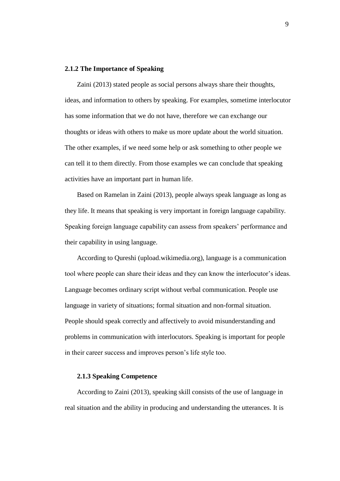## **2.1.2 The Importance of Speaking**

Zaini (2013) stated people as social persons always share their thoughts, ideas, and information to others by speaking. For examples, sometime interlocutor has some information that we do not have, therefore we can exchange our thoughts or ideas with others to make us more update about the world situation. The other examples, if we need some help or ask something to other people we can tell it to them directly. From those examples we can conclude that speaking activities have an important part in human life.

Based on Ramelan in Zaini (2013), people always speak language as long as they life. It means that speaking is very important in foreign language capability. Speaking foreign language capability can assess from speakers' performance and their capability in using language.

According to Qureshi (upload.wikimedia.org), language is a communication tool where people can share their ideas and they can know the interlocutor"s ideas. Language becomes ordinary script without verbal communication. People use language in variety of situations; formal situation and non-formal situation. People should speak correctly and affectively to avoid misunderstanding and problems in communication with interlocutors. Speaking is important for people in their career success and improves person"s life style too.

#### **2.1.3 Speaking Competence**

According to Zaini (2013), speaking skill consists of the use of language in real situation and the ability in producing and understanding the utterances. It is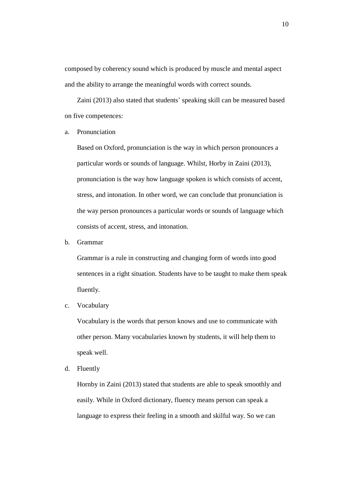composed by coherency sound which is produced by muscle and mental aspect and the ability to arrange the meaningful words with correct sounds.

Zaini (2013) also stated that students' speaking skill can be measured based on five competences:

a. Pronunciation

Based on Oxford, pronunciation is the way in which person pronounces a particular words or sounds of language. Whilst, Horby in Zaini (2013), pronunciation is the way how language spoken is which consists of accent, stress, and intonation. In other word, we can conclude that pronunciation is the way person pronounces a particular words or sounds of language which consists of accent, stress, and intonation.

b. Grammar

Grammar is a rule in constructing and changing form of words into good sentences in a right situation. Students have to be taught to make them speak fluently.

c. Vocabulary

Vocabulary is the words that person knows and use to communicate with other person. Many vocabularies known by students, it will help them to speak well.

d. Fluently

Hornby in Zaini (2013) stated that students are able to speak smoothly and easily. While in Oxford dictionary, fluency means person can speak a language to express their feeling in a smooth and skilful way. So we can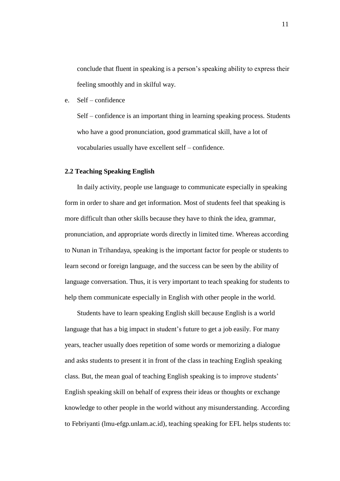conclude that fluent in speaking is a person"s speaking ability to express their feeling smoothly and in skilful way.

e. Self – confidence

Self – confidence is an important thing in learning speaking process. Students who have a good pronunciation, good grammatical skill, have a lot of vocabularies usually have excellent self – confidence.

### **2.2 Teaching Speaking English**

In daily activity, people use language to communicate especially in speaking form in order to share and get information. Most of students feel that speaking is more difficult than other skills because they have to think the idea, grammar, pronunciation, and appropriate words directly in limited time. Whereas according to Nunan in Trihandaya, speaking is the important factor for people or students to learn second or foreign language, and the success can be seen by the ability of language conversation. Thus, it is very important to teach speaking for students to help them communicate especially in English with other people in the world.

Students have to learn speaking English skill because English is a world language that has a big impact in student's future to get a job easily. For many years, teacher usually does repetition of some words or memorizing a dialogue and asks students to present it in front of the class in teaching English speaking class. But, the mean goal of teaching English speaking is to improve students" English speaking skill on behalf of express their ideas or thoughts or exchange knowledge to other people in the world without any misunderstanding. According to Febriyanti (lmu-efgp.unlam.ac.id), teaching speaking for EFL helps students to: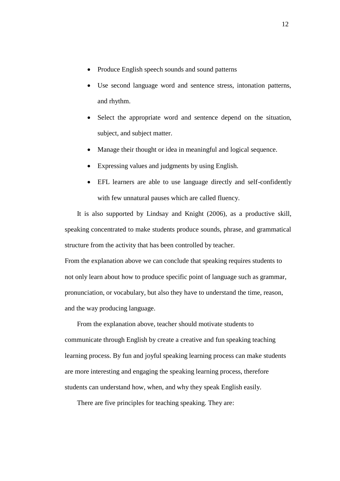- Produce English speech sounds and sound patterns
- Use second language word and sentence stress, intonation patterns, and rhythm.
- Select the appropriate word and sentence depend on the situation, subject, and subject matter.
- Manage their thought or idea in meaningful and logical sequence.
- Expressing values and judgments by using English.
- EFL learners are able to use language directly and self-confidently with few unnatural pauses which are called fluency.

It is also supported by Lindsay and Knight (2006), as a productive skill, speaking concentrated to make students produce sounds, phrase, and grammatical structure from the activity that has been controlled by teacher.

From the explanation above we can conclude that speaking requires students to not only learn about how to produce specific point of language such as grammar, pronunciation, or vocabulary, but also they have to understand the time, reason, and the way producing language.

From the explanation above, teacher should motivate students to communicate through English by create a creative and fun speaking teaching learning process. By fun and joyful speaking learning process can make students are more interesting and engaging the speaking learning process, therefore students can understand how, when, and why they speak English easily.

There are five principles for teaching speaking. They are: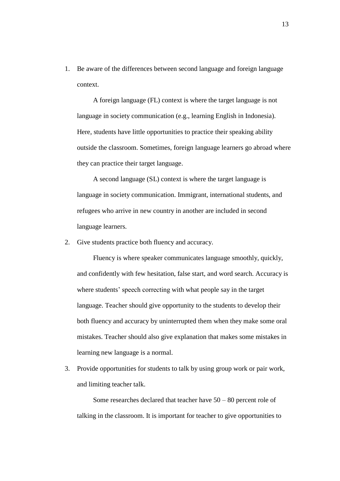1. Be aware of the differences between second language and foreign language context.

A foreign language (FL) context is where the target language is not language in society communication (e.g., learning English in Indonesia). Here, students have little opportunities to practice their speaking ability outside the classroom. Sometimes, foreign language learners go abroad where they can practice their target language.

A second language (SL) context is where the target language is language in society communication. Immigrant, international students, and refugees who arrive in new country in another are included in second language learners.

2. Give students practice both fluency and accuracy.

Fluency is where speaker communicates language smoothly, quickly, and confidently with few hesitation, false start, and word search. Accuracy is where students' speech correcting with what people say in the target language. Teacher should give opportunity to the students to develop their both fluency and accuracy by uninterrupted them when they make some oral mistakes. Teacher should also give explanation that makes some mistakes in learning new language is a normal.

3. Provide opportunities for students to talk by using group work or pair work, and limiting teacher talk.

Some researches declared that teacher have  $50 - 80$  percent role of talking in the classroom. It is important for teacher to give opportunities to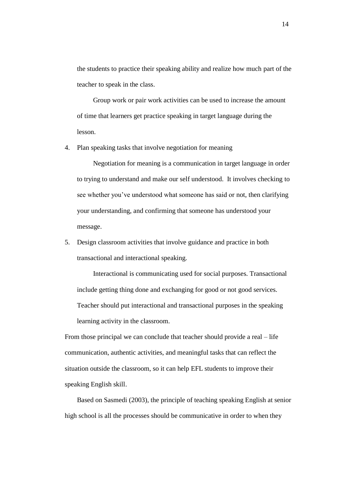the students to practice their speaking ability and realize how much part of the teacher to speak in the class.

Group work or pair work activities can be used to increase the amount of time that learners get practice speaking in target language during the lesson.

4. Plan speaking tasks that involve negotiation for meaning

Negotiation for meaning is a communication in target language in order to trying to understand and make our self understood. It involves checking to see whether you"ve understood what someone has said or not, then clarifying your understanding, and confirming that someone has understood your message.

5. Design classroom activities that involve guidance and practice in both transactional and interactional speaking.

Interactional is communicating used for social purposes. Transactional include getting thing done and exchanging for good or not good services. Teacher should put interactional and transactional purposes in the speaking learning activity in the classroom.

From those principal we can conclude that teacher should provide a real – life communication, authentic activities, and meaningful tasks that can reflect the situation outside the classroom, so it can help EFL students to improve their speaking English skill.

Based on Sasmedi (2003), the principle of teaching speaking English at senior high school is all the processes should be communicative in order to when they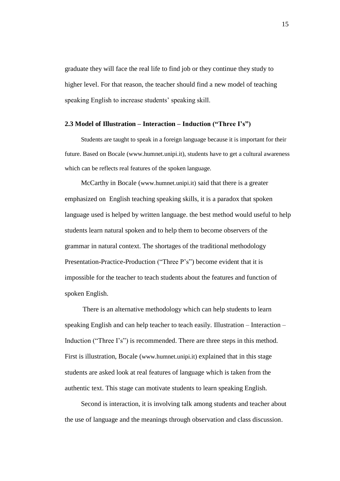graduate they will face the real life to find job or they continue they study to higher level. For that reason, the teacher should find a new model of teaching speaking English to increase students' speaking skill.

# **2.3 Model of Illustration – Interaction – Induction ("Three I's")**

Students are taught to speak in a foreign language because it is important for their future. Based on Bocale (www.humnet.unipi.it), students have to get a cultural awareness which can be reflects real features of the spoken language.

McCarthy in Bocale (www.humnet.unipi.it) said that there is a greater emphasized on English teaching speaking skills, it is a paradox that spoken language used is helped by written language. the best method would useful to help students learn natural spoken and to help them to become observers of the grammar in natural context. The shortages of the traditional methodology Presentation-Practice-Production ("Three P's") become evident that it is impossible for the teacher to teach students about the features and function of spoken English.

There is an alternative methodology which can help students to learn speaking English and can help teacher to teach easily. Illustration – Interaction – Induction ("Three I's") is recommended. There are three steps in this method. First is illustration, Bocale (www.humnet.unipi.it) explained that in this stage students are asked look at real features of language which is taken from the authentic text. This stage can motivate students to learn speaking English.

Second is interaction, it is involving talk among students and teacher about the use of language and the meanings through observation and class discussion.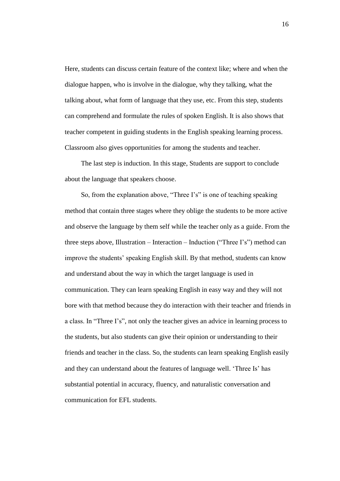Here, students can discuss certain feature of the context like; where and when the dialogue happen, who is involve in the dialogue, why they talking, what the talking about, what form of language that they use, etc. From this step, students can comprehend and formulate the rules of spoken English. It is also shows that teacher competent in guiding students in the English speaking learning process. Classroom also gives opportunities for among the students and teacher.

The last step is induction. In this stage, Students are support to conclude about the language that speakers choose.

So, from the explanation above, "Three I's" is one of teaching speaking method that contain three stages where they oblige the students to be more active and observe the language by them self while the teacher only as a guide. From the three steps above, Illustration – Interaction – Induction ("Three I"s") method can improve the students" speaking English skill. By that method, students can know and understand about the way in which the target language is used in communication. They can learn speaking English in easy way and they will not bore with that method because they do interaction with their teacher and friends in a class. In "Three I's", not only the teacher gives an advice in learning process to the students, but also students can give their opinion or understanding to their friends and teacher in the class. So, the students can learn speaking English easily and they can understand about the features of language well. 'Three Is' has substantial potential in accuracy, fluency, and naturalistic conversation and communication for EFL students.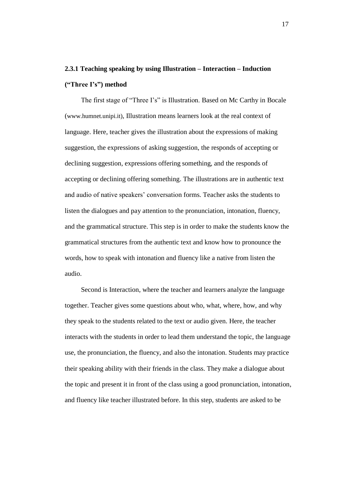# **2.3.1 Teaching speaking by using Illustration – Interaction – Induction ("Three I's") method**

The first stage of "Three I's" is Illustration. Based on Mc Carthy in Bocale (www.humnet.unipi.it), Illustration means learners look at the real context of language. Here, teacher gives the illustration about the expressions of making suggestion, the expressions of asking suggestion, the responds of accepting or declining suggestion, expressions offering something, and the responds of accepting or declining offering something. The illustrations are in authentic text and audio of native speakers" conversation forms. Teacher asks the students to listen the dialogues and pay attention to the pronunciation, intonation, fluency, and the grammatical structure. This step is in order to make the students know the grammatical structures from the authentic text and know how to pronounce the words, how to speak with intonation and fluency like a native from listen the audio.

Second is Interaction, where the teacher and learners analyze the language together. Teacher gives some questions about who, what, where, how, and why they speak to the students related to the text or audio given. Here, the teacher interacts with the students in order to lead them understand the topic, the language use, the pronunciation, the fluency, and also the intonation. Students may practice their speaking ability with their friends in the class. They make a dialogue about the topic and present it in front of the class using a good pronunciation, intonation, and fluency like teacher illustrated before. In this step, students are asked to be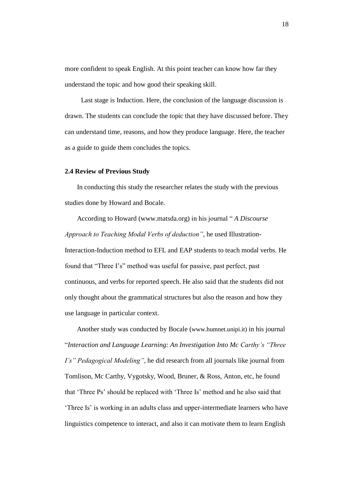more confident to speak English. At this point teacher can know how far they understand the topic and how good their speaking skill.

Last stage is Induction. Here, the conclusion of the language discussion is drawn. The students can conclude the topic that they have discussed before. They can understand time, reasons, and how they produce language. Here, the teacher as a guide to guide them concludes the topics.

## **2.4 Review of Previous Study**

In conducting this study the researcher relates the study with the previous studies done by Howard and Bocale.

According to Howard (www.matsda.org) in his journal " *A Discourse Approach to Teaching Modal Verbs of deduction"*, he used Illustration-Interaction-Induction method to EFL and EAP students to teach modal verbs. He found that "Three I"s" method was useful for passive, past perfect, past continuous, and verbs for reported speech. He also said that the students did not only thought about the grammatical structures but also the reason and how they use language in particular context.

Another study was conducted by Bocale (www.humnet.unipi.it) in his journal "*Interaction and Language Learning: An Investigation Into Mc Carthy's "Three I's" Pedagogical Modeling"*, he did research from all journals like journal from Tomlison, Mc Carthy, Vygotsky, Wood, Bruner, & Ross, Anton, etc, he found that "Three Ps" should be replaced with "Three Is" method and he also said that Three Is' is working in an adults class and upper-intermediate learners who have linguistics competence to interact, and also it can motivate them to learn English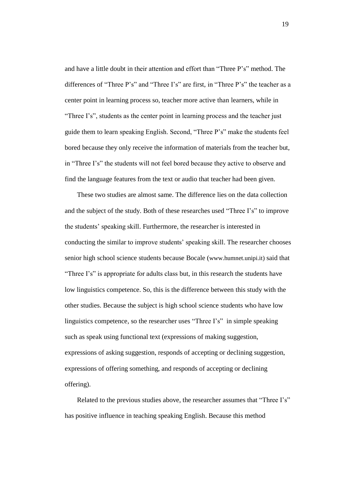and have a little doubt in their attention and effort than "Three P"s" method. The differences of "Three P's" and "Three I's" are first, in "Three P's" the teacher as a center point in learning process so, teacher more active than learners, while in "Three I's", students as the center point in learning process and the teacher just guide them to learn speaking English. Second, "Three P"s" make the students feel bored because they only receive the information of materials from the teacher but, in "Three I"s" the students will not feel bored because they active to observe and find the language features from the text or audio that teacher had been given.

These two studies are almost same. The difference lies on the data collection and the subject of the study. Both of these researches used "Three I"s" to improve the students" speaking skill. Furthermore, the researcher is interested in conducting the similar to improve students" speaking skill. The researcher chooses senior high school science students because Bocale (www.humnet.unipi.it) said that "Three I's" is appropriate for adults class but, in this research the students have low linguistics competence. So, this is the difference between this study with the other studies. Because the subject is high school science students who have low linguistics competence, so the researcher uses "Three I's" in simple speaking such as speak using functional text (expressions of making suggestion, expressions of asking suggestion, responds of accepting or declining suggestion, expressions of offering something, and responds of accepting or declining offering).

Related to the previous studies above, the researcher assumes that "Three I's" has positive influence in teaching speaking English. Because this method